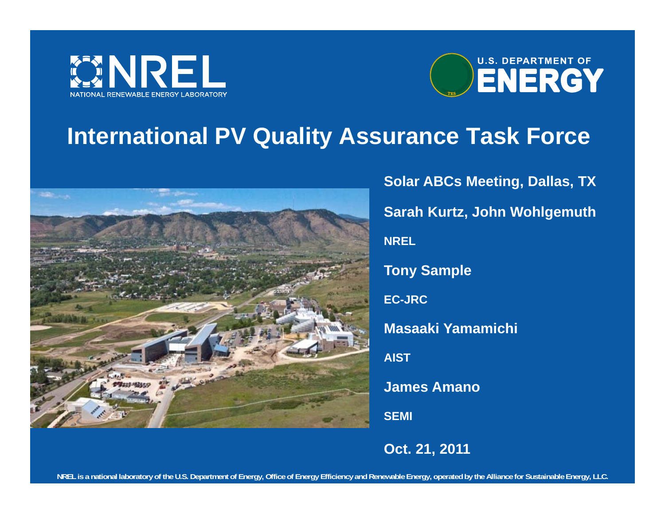



### **International PV Quality Assurance Task Force**



**Solar ABCs Meeting, Dallas, TX Sarah Kurtz, John Wohlgemuth NRELTony Sample EC-JRCMasaaki YamamichiAISTJames AmanoSEMIOct. 21, 2011**

**NREL is a national laboratory of the U.S. Department of Energy, Office of Energy Efficiency and Renewable Energy, operated by the Alliance for Sustainable Energy, LLC.**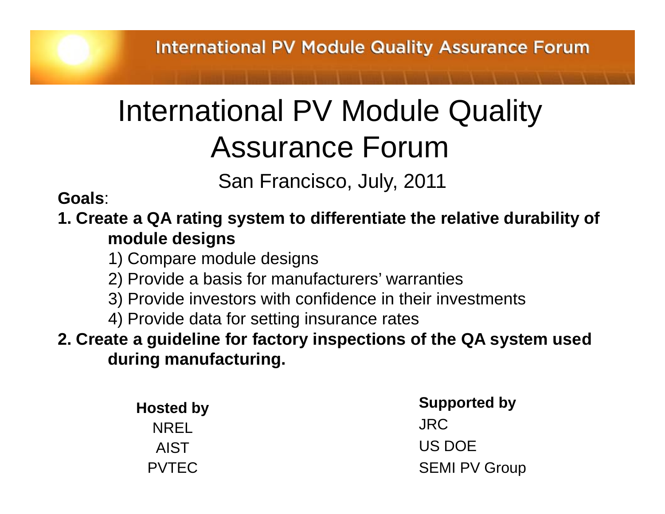# International PV Module Quality Assurance Forum

San Francisco, July, 2011 **Goals**:

**1. Create a Q gy y A ratin g s ystem to differentiate the relative durabilit y of module designs**

1) Compare module designs

2) Provide a basis for manufacturers' warranties

3) Provide investors with confidence in their investments

4) Provide data for setting insurance rates

**2. Create a guideline for factory inspections of the QA system used di fti uring manu fac turing.**

| <b>Hosted by</b> | <b>Supported by</b>  |
|------------------|----------------------|
| <b>NREL</b>      | <b>JRC</b>           |
| AIST             | US DOE               |
| <b>PVTEC</b>     | <b>SEMI PV Group</b> |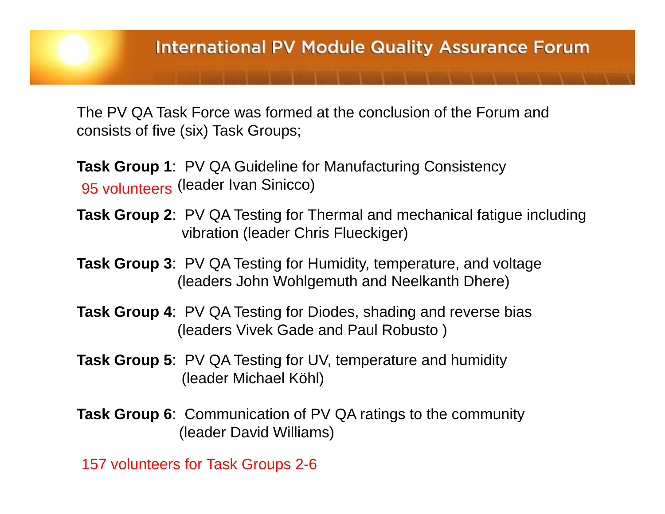The PV QA Task Force was formed at the conclusion of the Forum and consists of five (six) Task Groups;

**Task Group 1**: PV QA Guideline for Manufacturing Consistency 95 volunteers (leader Ivan Sinicco)

- **Task Group 2**: PV QA Testing for Thermal and mechanical fatigue including vibration (leader Chris Flueckiger)
- **Task Group 3**: PV QA Testing for Humidity, temperature, and voltage (leaders John Wohlgemuth and Neelkanth Dhere)
- **Task Group 4**: PV QA Testing for Diodes, shading and reverse bias (leaders Vivek Gade and Paul Robusto )
- **Task Group 5**: PV QA Testing for UV, temperature and humidity (leader Michael Köhl)
- **Task Group 6:** Communication of PV QA ratings to the community (leader David Williams)

157 volunteers for Task Groups 2-6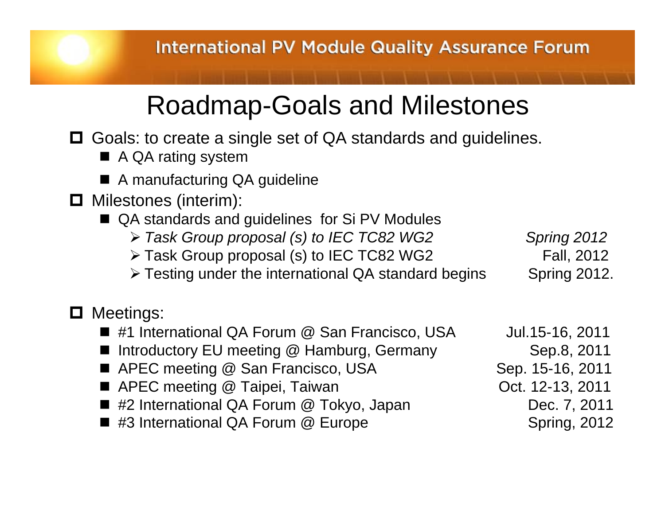# Roadmap-Goals and Milestones

- **□** Goals: to create a single set of QA standards and guidelines.
	- A QA rating system
	- A manufacturing QA guideline
- Milestones (interim):
	- QA standards and guidelines for Si PV Modules
		- *Task Group proposal (s) to IEC TC82 WG2 Spring 2012*
		- > Task Group proposal (s) to IEC TC82 WG2 Fall, 2012
		- $\triangleright$  Testing under the international QA standard begins Spring 2012.

### **D** Meetings:

- #1 International QA Forum @ San Francisco, USA Jul.15-16, 2011 ■ Introductory EU meeting @ Hamburg, Germany 6 Sep.8, 2011 ■ APEC meeting @ San Francisco, USA Netting 2011 ■ APEC meeting @ Taipei, Taiwan 
■ Oct. 12-13, 2011 ■ #2 International QA Forum @ Tokyo, Japan Dec. 7, 2011 #3 I t ti l QA F @ E S i 2012 International Forum Europe **Spring, 2012** 
	-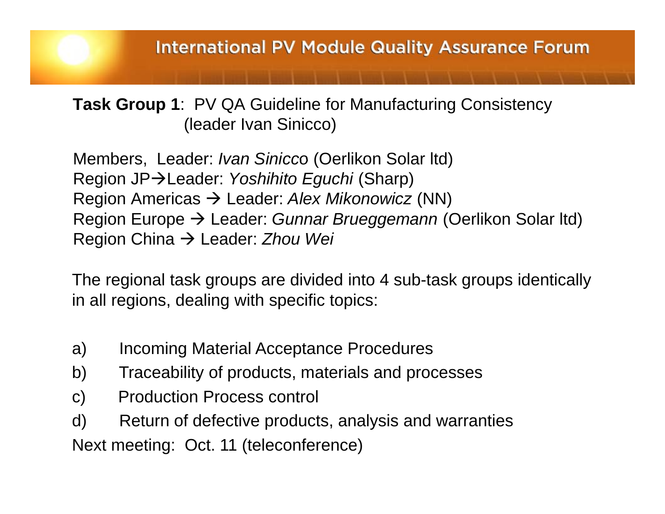### **International PV Module Quality Assurance Forum**

**Task Group 1**: PV QA Guideline for Manufacturing Consistency (leader Ivan Sinicco)

Members, Leader: *Ivan Sinicco* (Oerlikon Solar ltd) Region JP→Leader: *Yoshihito Eguchi* (Sharp) Region Americas Leader: *Alex Mikonowicz* (NN) Region Europe Leader: *Gunnar Brueggemann* (Oerlikon Solar ltd) Region China Leader: *Zhou Wei*

The regional task groups are divided into 4 sub-task groups identically in all regions, dealing with specific topics:

- a) Incoming Material Acceptance Procedures
- b) Traceability of products, materials and processes
- c) Production Process control

d) Return of defective products, analysis and warranties Next meeting: Oct. 11 (teleconference)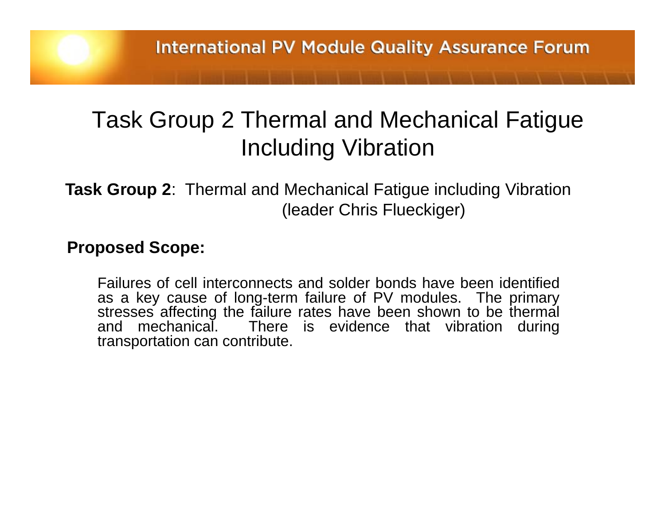## Task Group 2 Thermal and Mechanical Fatigue Includin g Vibration

**Task Group 2**: Thermal and Mechanical Fatigue including Vibration (leader Chris Flueckiger)

#### **Proposed Scope:**

Failures of cell interconnects and solde r bonds have been identified as <sup>a</sup> key cause of long-term failure of PV modules. The primary stresses affecting the failure rates have been shown to be thermal and mechanical. There is evidence that vibration during transportation can contribute.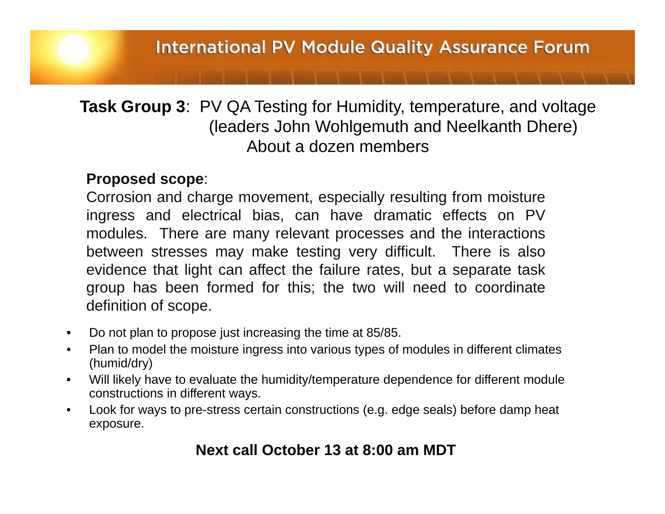#### **Task Group 3**: PV QA Testing for Humidity, temperature, and voltage (leaders John Wohlgemuth and Neelkanth Dhere) About a dozen members

#### **Proposed scope**:

Corrosion and charge movement, especially resulting from moisture ingress and electrical bias, can have dramatic effects on PV modules. There are many relevant processes and the interactions between stresses may make testing very difficult. There is also evidence that light can affect the failure rates, but <sup>a</sup> separate task group has been formed for this; the two will need to coordinate definition of scope.

- •Do not plan to propose just increasing the time at 85/85.
- $\bullet$  Plan to model the moisture ingress into various types of modules in different climates (humid/dry)
- $\bullet$  Will likely have to evaluate the humidity/temperature dependence for different module constructions in different ways.
- • Look for ways to pre-stress certain constructions (e.g. edge seals) before damp heat exposure.

#### **Next call October 13 at 8:00 am MDT**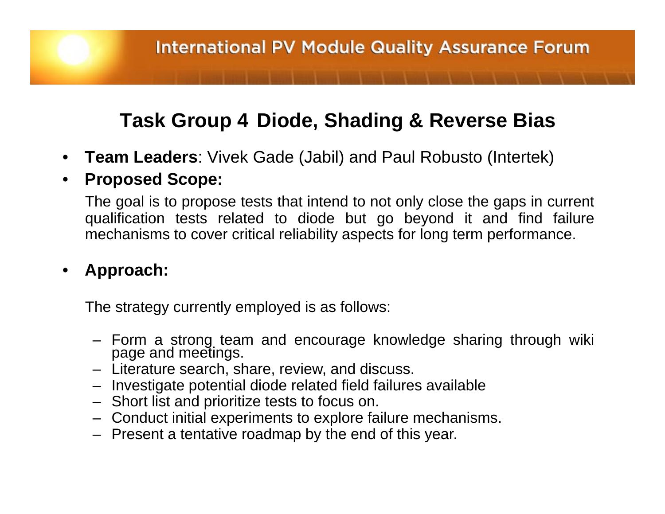### **Task Group 4 Diode, Shading & Reverse Bias**

• **Team Leaders** : Vivek Gade (Jabil) and Paul Robusto (Intertek) (Intertek)

#### $\bullet$ **Proposed Scope:**

The goal is to propose tests that intend to not only close the gaps in current qualification tests related to diode but go be yond it and find failure mechanisms to cover critical reliability aspects for long term performance.

#### •**Approach:**

The strategy currently employed is as follows:

- Form <sup>a</sup> strong team and encourage knowledge sharing through wiki page and meetings.
- Literature search, share, review, and discuss.
- Investigate potential diode related field failures available
- Short list and prioritize tests to focus on.
- $-$  Conduct initial experiments to explore failure mechanisms.
- Present <sup>a</sup> tentative roadmap by the end of this year.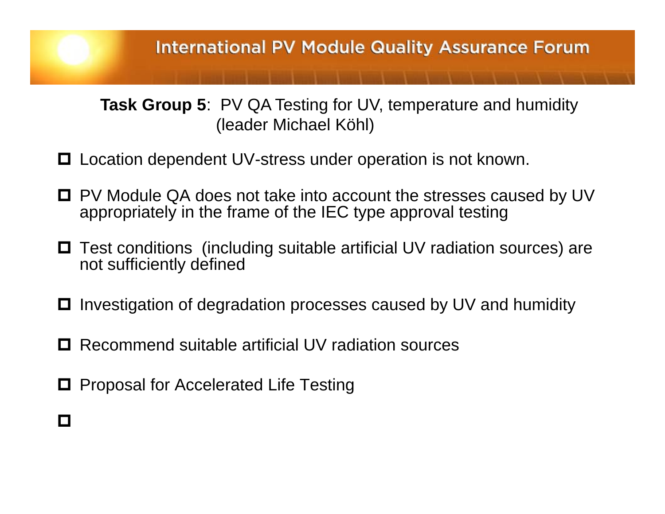#### **International PV Module Quality Assurance Forum**

**Task Group 5**: PV QA Testing for UV, temperature and humidity (leader Michael Köhl)

- □ Location dependent UV-stress under operation is not known.
- PV Module QA does not take into account the stresses caused by UV appropriately in the frame of the IEC type approval testing
- $\Box$  Test conditions (including suitable artificial UV radiation sources) are not sufficiently defined
- **□** Investigation of degradation processes caused by UV and humidity
- $\Box$ Recommend suitable artificial UV radiation sources
- $\Box$ Proposal for Accelerated Life Testing
- $\Box$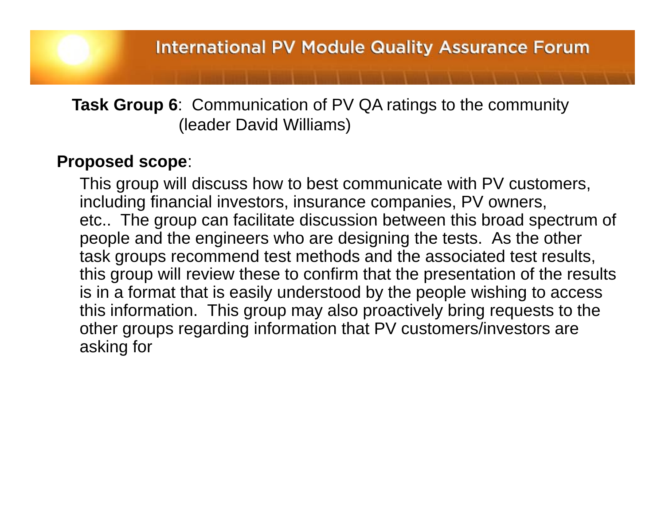**Task Group 6**: Communication of PV QA ratings to the community (leader David Williams)

#### **Proposed scope**:

This group will discuss how to best communicate with PV customers, including financial investors, insurance companies, PV owners, etc.. The group can facilitate discussion between this broad spectrum of people and the engineers who are designing the tests. As the other task groups recommend test methods and the associated test results, this group will review these to confirm that the presentation of the results is in a format that is easily understood by the people wishing to access this information. This group may also proactively bring requests to the other groups regarding information that PV customers/investors are asking for